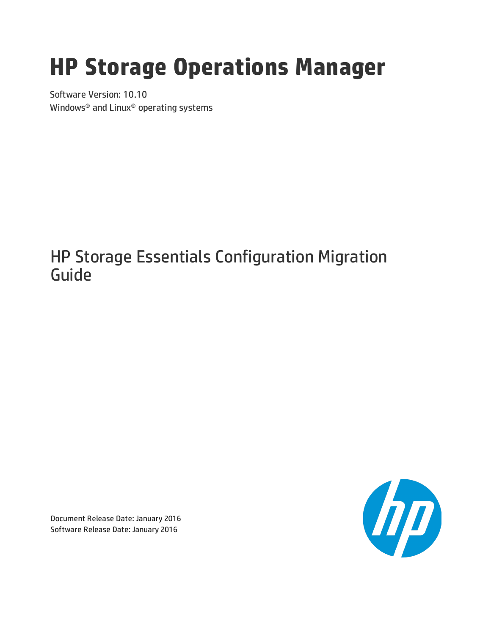# **HP Storage Operations Manager**

Software Version: 10.10 Windows® and Linux® operating systems

## HP Storage Essentials Configuration Migration Guide



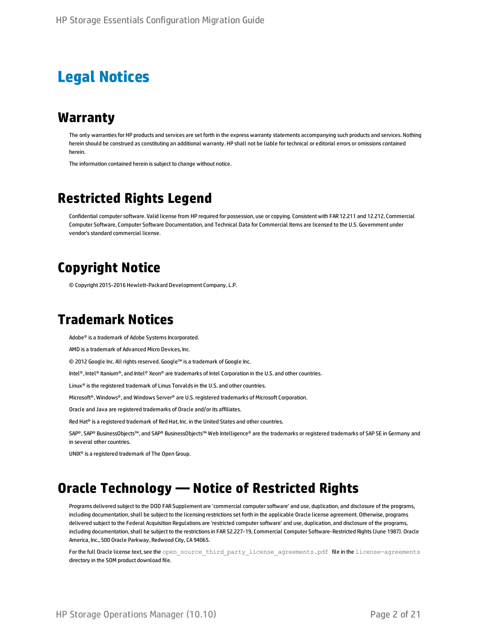### **Legal Notices**

#### **Warranty**

The only warranties for HP products and services are setforth in the express warranty statements accompanying such products and services. Nothing herein should be construed as constituting an additional warranty. HP shall not be liable fortechnical or editorial errors or omissions contained herein.

The information contained herein is subject to change without notice.

### **Restricted Rights Legend**

Confidential computer software. Valid license from HP required for possession, use or copying. Consistent with FAR 12.211 and 12.212, Commercial Computer Software, Computer Software Documentation, and Technical Data for Commercial Items are licensed to the U.S. Government under vendor's standard commercial license.

### **Copyright Notice**

© Copyright 2015-2016 Hewlett-Packard Development Company, L.P.

### **Trademark Notices**

Adobe® is a trademark of Adobe Systems Incorporated.

AMD is a trademark of Advanced Micro Devices, Inc.

© 2012 Google Inc. All rights reserved. Google™ is a trademark of Google Inc.

Intel®, Intel® Itanium®, and Intel® Xeon® are trademarks of Intel Corporation in the U.S. and other countries.

Linux® is the registered trademark of Linus Torvalds in the U.S. and other countries.

Microsoft®, Windows®, and Windows Server® are U.S.registered trademarks of Microsoft Corporation.

Oracle and Java are registered trademarks of Oracle and/or its affiliates.

Red Hat® is a registered trademark of Red Hat, Inc. in the United States and other countries.

SAP®, SAP® BusinessObjects™, and SAP® BusinessObjects™ Web Intelligence® are the trademarks orregistered trademarks of SAP SE in Germany and in several other countries.

UNIX® is a registered trademark of The Open Group.

### **Oracle Technology — Notice of Restricted Rights**

Programs delivered subject to the DOD FAR Supplement are 'commercial computer software' and use, duplication, and disclosure of the programs, including documentation, shall be subject to the licensing restrictions set forth in the applicable Oracle license agreement. Otherwise, programs delivered subject to the Federal Acquisition Regulations are 'restricted computer software' and use, duplication, and disclosure of the programs, including documentation, shall be subject to the restrictions in FAR 52.227-19, Commercial Computer Software-Restricted Rights (June 1987). Oracle America, Inc., 500 Oracle Parkway, Redwood City, CA 94065.

For the full Oracle license text, see the open\_source\_third\_party\_license\_agreements.pdf file in the license-agreements directory in the SOM product download file.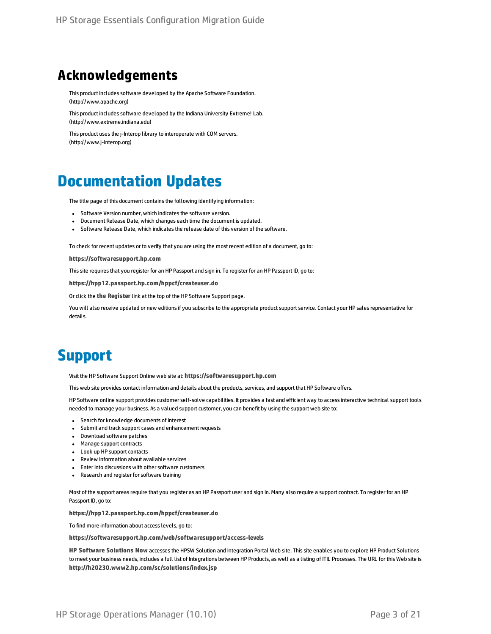### **Acknowledgements**

This product includes software developed by the Apache Software Foundation. (http://www.apache.org)

This product includes software developed by the Indiana University Extreme! Lab. (http://www.extreme.indiana.edu)

This product uses the j-Interop library to interoperate with COM servers. (http://www.j-interop.org)

### **Documentation Updates**

The title page of this document contains the following identifying information:

- Software Version number, which indicates the software version.
- Document Release Date, which changes each time the document is updated.
- Software Release Date, which indicates the release date of this version of the software.

To check for recent updates or to verify that you are using the most recent edition of a document, go to:

**https://softwaresupport.hp.com**

This site requires that you register for an HP Passport and sign in. To register for an HP Passport ID, go to:

**https://hpp12.passport.hp.com/hppcf/createuser.do**

Or click the **the Register**link atthe top of the HP Software Support page.

You will also receive updated or new editions if you subscribe to the appropriate product support service. Contact your HP sales representative for details.

## **Support**

Visitthe HP Software Support Online web site at: **https://softwaresupport.hp.com**

This web site provides contact information and details about the products, services, and support that HP Software offers.

HP Software online support provides customer self-solve capabilities. It provides a fast and efficient way to access interactive technical support tools needed to manage your business. As a valued support customer, you can benefit by using the support web site to:

- **.** Search for knowledge documents of interest
- Submit and track support cases and enhancement requests
- Download software patches
- Manage support contracts
- Look up HP support contacts
- Review information about available services
- Enter into discussions with other software customers
- Research and register for software training

Most of the support areas require that you register as an HP Passport user and sign in. Many also require a support contract. To register for an HP Passport ID, go to:

**https://hpp12.passport.hp.com/hppcf/createuser.do**

To find more information about access levels, go to:

**https://softwaresupport.hp.com/web/softwaresupport/access-levels**

**HP Software Solutions Now** accesses the HPSW Solution and Integration Portal Web site. This site enables you to explore HP Product Solutions to meet your business needs, includes a full list of Integrations between HP Products, as well as a listing of ITIL Processes. The URL forthis Web site is **http://h20230.www2.hp.com/sc/solutions/index.jsp**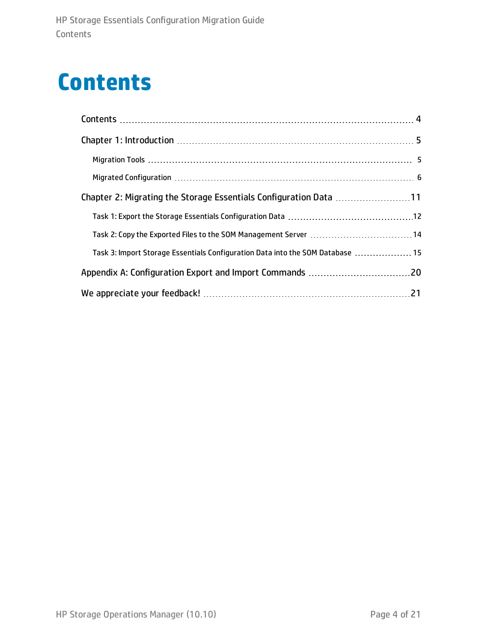## <span id="page-3-0"></span>**Contents**

| Chapter 2: Migrating the Storage Essentials Configuration Data 11              |  |  |
|--------------------------------------------------------------------------------|--|--|
|                                                                                |  |  |
|                                                                                |  |  |
| Task 3: Import Storage Essentials Configuration Data into the SOM Database  15 |  |  |
|                                                                                |  |  |
|                                                                                |  |  |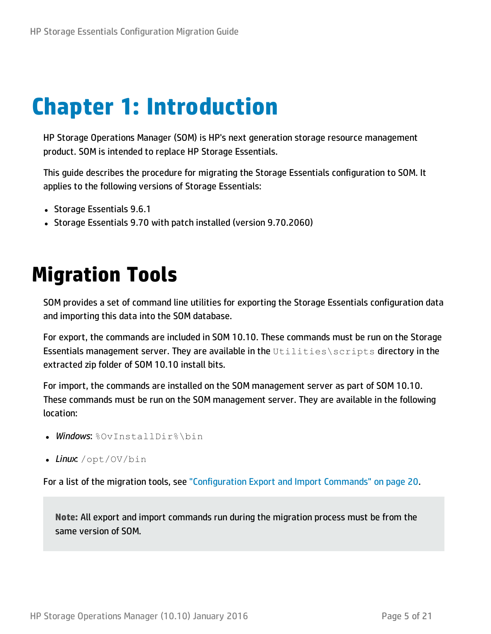## <span id="page-4-0"></span>**Chapter 1: Introduction**

HP Storage Operations Manager (SOM) is HP's next generation storage resource management product. SOM is intended to replace HP Storage Essentials.

This guide describes the procedure for migrating the Storage Essentials configuration to SOM. It applies to the following versions of Storage Essentials:

- Storage Essentials 9.6.1
- <span id="page-4-1"></span>• Storage Essentials 9.70 with patch installed (version 9.70.2060)

## **Migration Tools**

SOM provides a set of command line utilities for exporting the Storage Essentials configuration data and importing this data into the SOM database.

For export, the commands are included in SOM 10.10. These commands must be run on the Storage Essentials management server. They are available in the Utilities\scripts directory in the extracted zip folder of SOM 10.10 install bits.

For import, the commands are installed on the SOM management server as part of SOM 10.10. These commands must be run on the SOM management server. They are available in the following location:

- **. Windows: %OvInstallDir%\bin**
- *Linux*: /opt/OV/bin

For a list of the migration tools, see ["Configuration](#page-19-0) Export and Import Commands" on page 20.

**Note:** All export and import commands run during the migration process must be from the same version of SOM.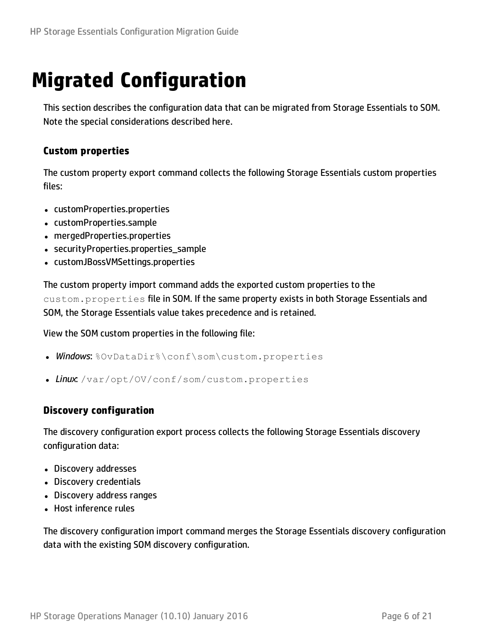## <span id="page-5-0"></span>**Migrated Configuration**

This section describes the configuration data that can be migrated from Storage Essentials to SOM. Note the special considerations described here.

#### **Custom properties**

The custom property export command collects the following Storage Essentials custom properties files:

- customProperties.properties
- customProperties.sample
- mergedProperties.properties
- securityProperties.properties sample
- customJBossVMSettings.properties

The custom property import command adds the exported custom properties to the custom.properties file in SOM. If the same property exists in both Storage Essentials and SOM, the Storage Essentials value takes precedence and is retained.

View the SOM custom properties in the following file:

- **Windows:** %OvDataDir%\conf\som\custom.properties
- Linux: /var/opt/OV/conf/som/custom.properties

#### **Discovery configuration**

The discovery configuration export process collects the following Storage Essentials discovery configuration data:

- Discovery addresses
- Discovery credentials
- Discovery address ranges
- Host inference rules

The discovery configuration import command merges the Storage Essentials discovery configuration data with the existing SOM discovery configuration.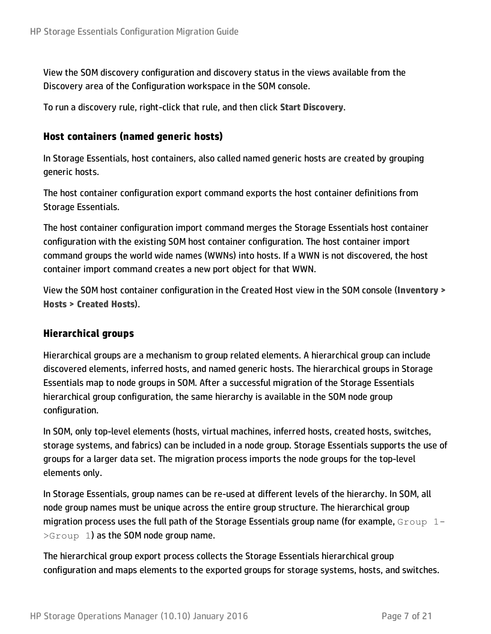View the SOM discovery configuration and discovery status in the views available from the Discovery area of the Configuration workspace in the SOM console.

To run a discovery rule, right-click that rule, and then click **Start Discovery**.

#### **Host containers (named generic hosts)**

In Storage Essentials, host containers, also called named generic hosts are created by grouping generic hosts.

The host container configuration export command exports the host container definitions from Storage Essentials.

The host container configuration import command merges the Storage Essentials host container configuration with the existing SOM host container configuration. The host container import command groups the world wide names (WWNs) into hosts. If a WWN is not discovered, the host container import command creates a new port object for that WWN.

View the SOM host container configuration in the Created Host view in the SOM console (**Inventory > Hosts > Created Hosts**).

#### **Hierarchical groups**

Hierarchical groups are a mechanism to group related elements. A hierarchical group can include discovered elements, inferred hosts, and named generic hosts. The hierarchical groups in Storage Essentials map to node groups in SOM. After a successful migration of the Storage Essentials hierarchical group configuration, the same hierarchy is available in the SOM node group configuration.

In SOM, only top-level elements (hosts, virtual machines, inferred hosts, created hosts, switches, storage systems, and fabrics) can be included in a node group. Storage Essentials supports the use of groups for a larger data set. The migration process imports the node groups for the top-level elements only.

In Storage Essentials, group names can be re-used at different levels of the hierarchy. In SOM, all node group names must be unique across the entire group structure. The hierarchical group migration process uses the full path of the Storage Essentials group name (for example,  $Group 1 >$ Group 1) as the SOM node group name.

The hierarchical group export process collects the Storage Essentials hierarchical group configuration and maps elements to the exported groups for storage systems, hosts, and switches.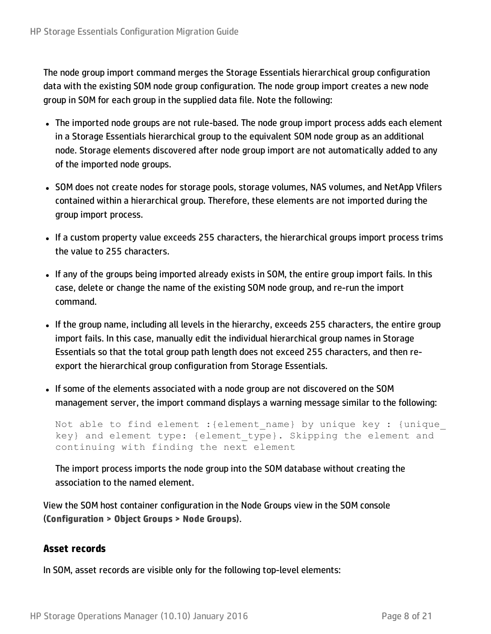The node group import command merges the Storage Essentials hierarchical group configuration data with the existing SOM node group configuration. The node group import creates a new node group in SOM for each group in the supplied data file. Note the following:

- The imported node groups are not rule-based. The node group import process adds each element in a Storage Essentials hierarchical group to the equivalent SOM node group as an additional node. Storage elements discovered after node group import are not automatically added to any of the imported node groups.
- SOM does not create nodes for storage pools, storage volumes, NAS volumes, and NetApp Vfilers contained within a hierarchical group. Therefore, these elements are not imported during the group import process.
- If a custom property value exceeds 255 characters, the hierarchical groups import process trims the value to 255 characters.
- If any of the groups being imported already exists in SOM, the entire group import fails. In this case, delete or change the name of the existing SOM node group, and re-run the import command.
- If the group name, including all levels in the hierarchy, exceeds 255 characters, the entire group import fails. In this case, manually edit the individual hierarchical group names in Storage Essentials so that the total group path length does not exceed 255 characters, and then reexport the hierarchical group configuration from Storage Essentials.
- If some of the elements associated with a node group are not discovered on the SOM management server, the import command displays a warning message similar to the following:

Not able to find element : {element name} by unique key : {unique key} and element type: {element type}. Skipping the element and continuing with finding the next element

The import process imports the node group into the SOM database without creating the association to the named element.

View the SOM host container configuration in the Node Groups view in the SOM console (**Configuration > Object Groups > Node Groups**).

#### **Asset records**

In SOM, asset records are visible only for the following top-level elements: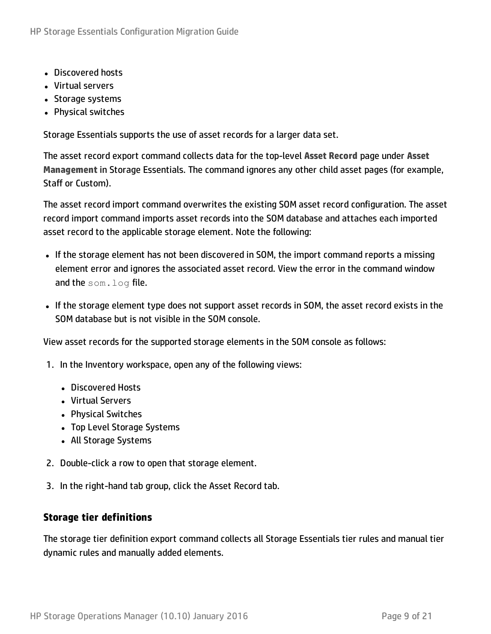- Discovered hosts
- Virtual servers
- Storage systems
- Physical switches

Storage Essentials supports the use of asset records for a larger data set.

The asset record export command collects data for the top-level **Asset Record** page under **Asset Management** in Storage Essentials. The command ignores any other child asset pages (for example, Staff or Custom).

The asset record import command overwrites the existing SOM asset record configuration. The asset record import command imports asset records into the SOM database and attaches each imported asset record to the applicable storage element. Note the following:

- If the storage element has not been discovered in SOM, the import command reports a missing element error and ignores the associated asset record. View the error in the command window and the som. log file.
- If the storage element type does not support asset records in SOM, the asset record exists in the SOM database but is not visible in the SOM console.

View asset records for the supported storage elements in the SOM console as follows:

- 1. In the Inventory workspace, open any of the following views:
	- Discovered Hosts
	- Virtual Servers
	- Physical Switches
	- Top Level Storage Systems
	- All Storage Systems
- 2. Double-click a row to open that storage element.
- 3. In the right-hand tab group, click the Asset Record tab.

#### **Storage tier definitions**

The storage tier definition export command collects all Storage Essentials tier rules and manual tier dynamic rules and manually added elements.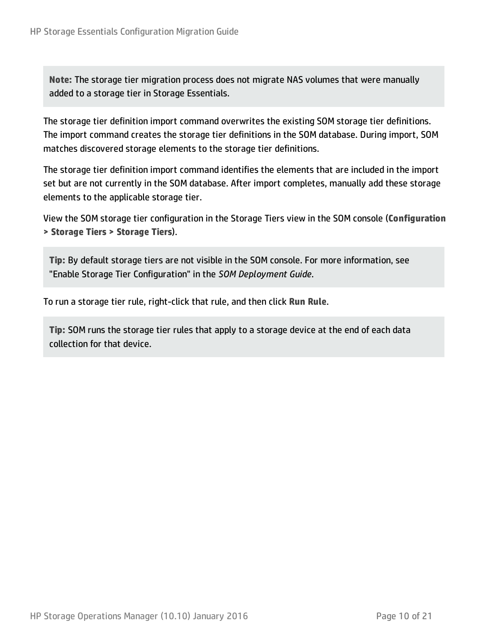**Note:** The storage tier migration process does not migrate NAS volumes that were manually added to a storage tier in Storage Essentials.

The storage tier definition import command overwrites the existing SOM storage tier definitions. The import command creates the storage tier definitions in the SOM database. During import, SOM matches discovered storage elements to the storage tier definitions.

The storage tier definition import command identifies the elements that are included in the import set but are not currently in the SOM database. After import completes, manually add these storage elements to the applicable storage tier.

View the SOM storage tier configuration in the Storage Tiers view in the SOM console (**Configuration > Storage Tiers > Storage Tiers**).

**Tip:** By default storage tiers are not visible in the SOM console. For more information, see "Enable Storage Tier Configuration" in the *SOM Deployment Guide*.

To run a storage tier rule, right-click that rule, and then click **Run Rule**.

**Tip:** SOM runs the storage tier rules that apply to a storage device at the end of each data collection for that device.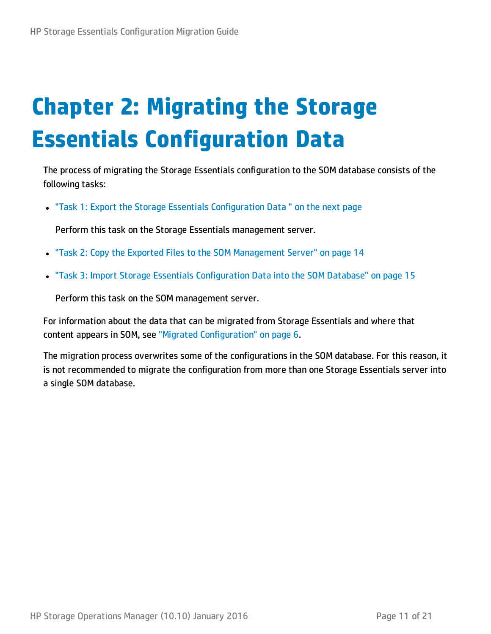# <span id="page-10-0"></span>**Chapter 2: Migrating the Storage Essentials Configuration Data**

The process of migrating the Storage Essentials configuration to the SOM database consists of the following tasks:

• "Task 1: Export the Storage Essentials [Configuration](#page-11-0) Data" on the next page

Perform this task on the Storage Essentials management server.

- "Task 2: Copy the Exported Files to the SOM [Management](#page-13-0) Server" on page 14
- "Task 3: Import Storage Essentials [Configuration](#page-14-0) Data into the SOM Database" on page 15

Perform this task on the SOM management server.

For information about the data that can be migrated from Storage Essentials and where that content appears in SOM, see "Migrated [Configuration"](#page-5-0) on page 6.

The migration process overwrites some of the configurations in the SOM database. For this reason, it is not recommended to migrate the configuration from more than one Storage Essentials server into a single SOM database.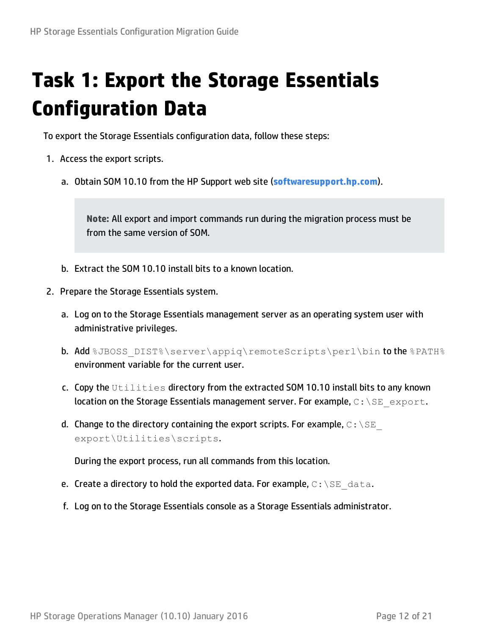## <span id="page-11-0"></span>**Task 1: Export the Storage Essentials Configuration Data**

To export the Storage Essentials configuration data, follow these steps:

- 1. Access the export scripts.
	- a. Obtain SOM 10.10 from the HP Support web site (**softwaresupport.hp.com**).

**Note:** All export and import commands run during the migration process must be from the same version of SOM.

- b. Extract the SOM 10.10 install bits to a known location.
- 2. Prepare the Storage Essentials system.
	- a. Log on to the Storage Essentials management server as an operating system user with administrative privileges.
	- b. Add %JBOSS\_DIST%\server\appiq\remoteScripts\perl\bin to the %PATH% environment variable for the current user.
	- c. Copy the Utilities directory from the extracted SOM 10.10 install bits to any known location on the Storage Essentials management server. For example,  $C:\S$ E export.
	- d. Change to the directory containing the export scripts. For example,  $C:\S$  E export\Utilities\scripts.

During the export process, run all commands from this location.

- e. Create a directory to hold the exported data. For example,  $C: \setminus SE$  data.
- f. Log on to the Storage Essentials console as a Storage Essentials administrator.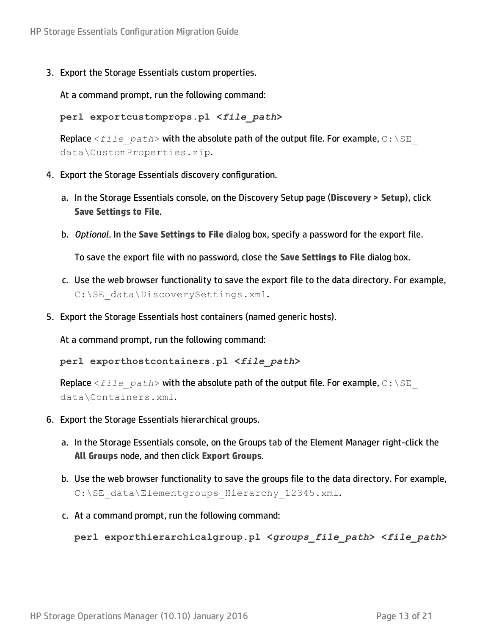3. Export the Storage Essentials custom properties.

At a command prompt, run the following command:

**perl exportcustomprops.pl <***file\_path***>**

**Replace** <*file path*> with the absolute path of the output file. For example, C: \SE data\CustomProperties.zip.

- 4. Export the Storage Essentials discovery configuration.
	- a. In the Storage Essentials console, on the Discovery Setup page (**Discovery > Setup**), click **Save Settings to File**.
	- b. *Optional*. In the **Save Settings to File** dialog box, specify a password for the export file.

To save the export file with no password, close the **Save Settings to File** dialog box.

- c. Use the web browser functionality to save the export file to the data directory. For example, C:\SE\_data\DiscoverySettings.xml.
- 5. Export the Storage Essentials host containers (named generic hosts).

At a command prompt, run the following command:

**perl exporthostcontainers.pl <***file\_path***>**

Replace  $\leq$  *file path*> with the absolute path of the output file. For example, C: \SE data\Containers.xml.

- 6. Export the Storage Essentials hierarchical groups.
	- a. In the Storage Essentials console, on the Groups tab of the Element Manager right-click the **All Groups** node, and then click **Export Groups**.
	- b. Use the web browser functionality to save the groups file to the data directory. For example, C:\SE\_data\Elementgroups\_Hierarchy\_12345.xml.
	- c. At a command prompt, run the following command:

**perl exporthierarchicalgroup.pl <***groups\_file\_path***> <***file\_path***>**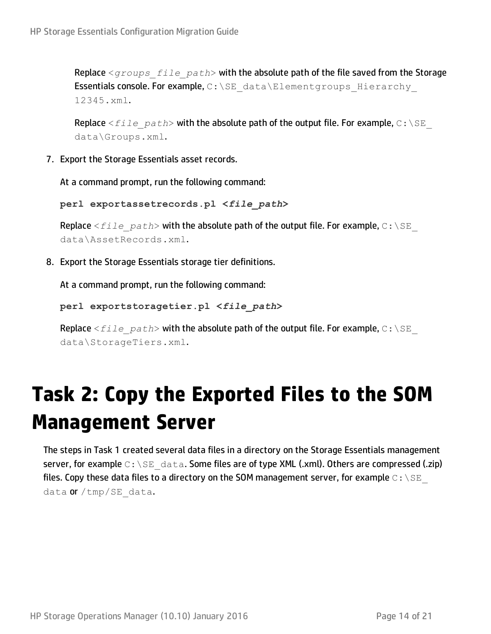Replace <*groups\_file\_path*> with the absolute path of the file saved from the Storage Essentials console. For example, C: \SE data\Elementgroups Hierarchy 12345.xml.

Replace  $\le$  *file* path> with the absolute path of the output file. For example, C: \SE data\Groups.xml.

7. Export the Storage Essentials asset records.

At a command prompt, run the following command:

**perl exportassetrecords.pl <***file\_path***>**

Replace  $\leq$  *file\_path*> with the absolute path of the output file. For example, C: \SE data\AssetRecords.xml.

8. Export the Storage Essentials storage tier definitions.

At a command prompt, run the following command:

**perl exportstoragetier.pl <***file\_path***>**

**Replace** <*file path*> with the absolute path of the output file. For example, C: \SE data\StorageTiers.xml.

## <span id="page-13-0"></span>**Task 2: Copy the Exported Files to the SOM Management Server**

The steps in Task 1 created several data files in a directory on the Storage Essentials management server, for example  $C:\S\to\text{data}$ . Some files are of type XML (.xml). Others are compressed (.zip) files. Copy these data files to a directory on the SOM management server, for example  $\text{C}: \text{NE}^$ data  $or /tmp / SE$  data.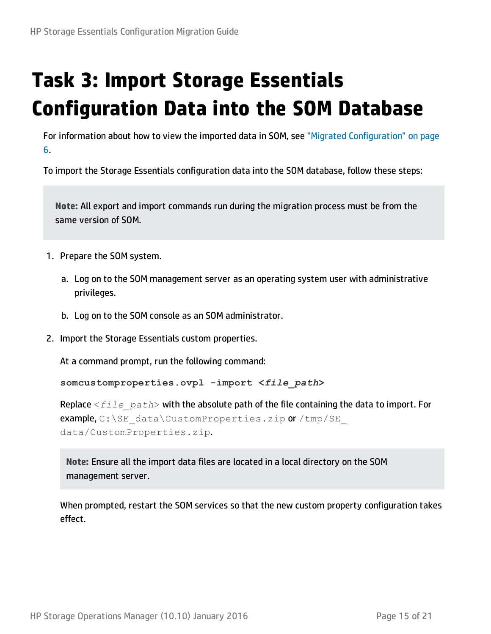## <span id="page-14-0"></span>**Task 3: Import Storage Essentials Configuration Data into the SOM Database**

For information about how to view the imported data in SOM, see "Migrated [Configuration"](#page-5-0) on page [6.](#page-5-0)

To import the Storage Essentials configuration data into the SOM database, follow these steps:

**Note:** All export and import commands run during the migration process must be from the same version of SOM.

- 1. Prepare the SOM system.
	- a. Log on to the SOM management server as an operating system user with administrative privileges.
	- b. Log on to the SOM console as an SOM administrator.
- 2. Import the Storage Essentials custom properties.

At a command prompt, run the following command:

**somcustomproperties.ovpl -import <***file\_path***>**

Replace <*file\_path*> with the absolute path of the file containing the data to import. For example, C:\SE\_data\CustomProperties.zip or /tmp/SE data/CustomProperties.zip.

**Note:** Ensure all the import data files are located in a local directory on the SOM management server.

When prompted, restart the SOM services so that the new custom property configuration takes effect.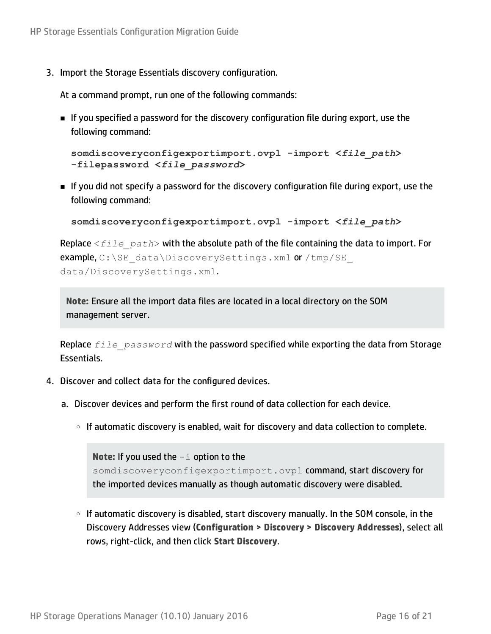3. Import the Storage Essentials discovery configuration.

At a command prompt, run one of the following commands:

**n** If you specified a password for the discovery configuration file during export, use the following command:

```
somdiscoveryconfigexportimport.ovpl -import <file_path>
-filepassword <file_password>
```
n If you did not specify a password for the discovery configuration file during export, use the following command:

```
somdiscoveryconfigexportimport.ovpl -import <file_path>
```
Replace <*file\_path*> with the absolute path of the file containing the data to import. For example, C:\SE\_data\DiscoverySettings.xml or /tmp/SE data/DiscoverySettings.xml.

**Note:** Ensure all the import data files are located in a local directory on the SOM management server.

Replace *file\_password* with the password specified while exporting the data from Storage Essentials.

- <span id="page-15-0"></span>4. Discover and collect data for the configured devices.
	- a. Discover devices and perform the first round of data collection for each device.
		- If automatic discovery is enabled, wait for discovery and data collection to complete.

**Note:** If you used the -i option to the somdiscoveryconfigexportimport.ovpl command, start discovery for the imported devices manually as though automatic discovery were disabled.

○ If automatic discovery is disabled, start discovery manually. In the SOM console, in the Discovery Addresses view (**Configuration > Discovery > Discovery Addresses**), select all rows, right-click, and then click **Start Discovery**.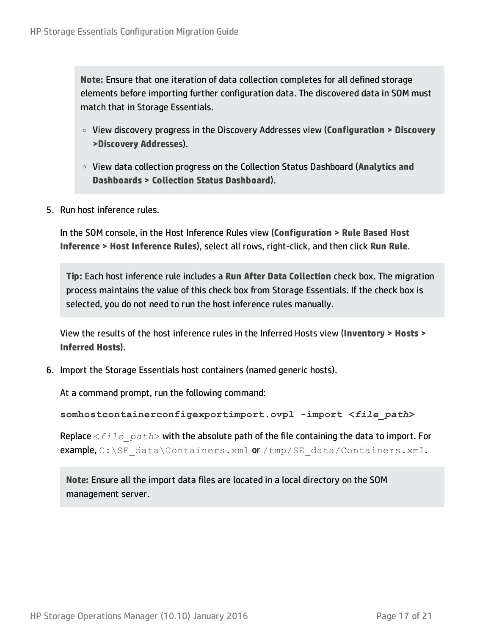**Note:** Ensure that one iteration of data collection completes for all defined storage elements before importing further configuration data. The discovered data in SOM must match that in Storage Essentials.

- <sup>o</sup> View discovery progress in the Discovery Addresses view (**Configuration > Discovery >Discovery Addresses**).
- <sup>o</sup> View data collection progress on the Collection Status Dashboard (**Analytics and Dashboards > Collection Status Dashboard**).
- <span id="page-16-0"></span>5. Run host inference rules.

In the SOM console, in the Host Inference Rules view (**Configuration > Rule Based Host Inference > Host Inference Rules**), select all rows, right-click, and then click **Run Rule**.

**Tip:** Each host inference rule includes a **Run After Data Collection** check box. The migration process maintains the value of this check box from Storage Essentials. If the check box is selected, you do not need to run the host inference rules manually.

View the results of the host inference rules in the Inferred Hosts view (**Inventory > Hosts > Inferred Hosts**).

<span id="page-16-1"></span>6. Import the Storage Essentials host containers (named generic hosts).

At a command prompt, run the following command:

**somhostcontainerconfigexportimport.ovpl -import <***file\_path***>**

Replace <*file\_path*> with the absolute path of the file containing the data to import. For example,  $C:\SE$  data\Containers.xml or /tmp/SE data/Containers.xml.

**Note:** Ensure all the import data files are located in a local directory on the SOM management server.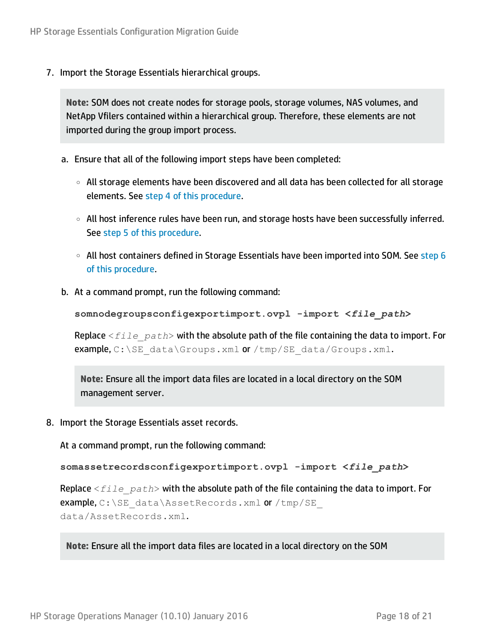7. Import the Storage Essentials hierarchical groups.

**Note:** SOM does not create nodes for storage pools, storage volumes, NAS volumes, and NetApp Vfilers contained within a hierarchical group. Therefore, these elements are not imported during the group import process.

- a. Ensure that all of the following import steps have been completed:
	- <sup>o</sup> All storage elements have been discovered and all data has been collected for all storage elements. See step 4 of this [procedure.](#page-15-0)
	- <sup>o</sup> All host inference rules have been run, and storage hosts have been successfully inferred. See step 5 of this [procedure](#page-16-0).
	- $\circ$  All host containers defined in Storage Essentials have been imported into SOM. See [step](#page-16-1) 6 of this [procedure.](#page-16-1)
- b. At a command prompt, run the following command:

```
somnodegroupsconfigexportimport.ovpl -import <file_path>
```
Replace <*file\_path*> with the absolute path of the file containing the data to import. For example,  $C:\S$ E data $\S$ roups.xml or /tmp/SE data/Groups.xml.

**Note:** Ensure all the import data files are located in a local directory on the SOM management server.

<span id="page-17-0"></span>8. Import the Storage Essentials asset records.

At a command prompt, run the following command:

**somassetrecordsconfigexportimport.ovpl -import <***file\_path***>**

Replace <*file\_path*> with the absolute path of the file containing the data to import. For example,  $C:\SE$  data\AssetRecords.xml or /tmp/SE data/AssetRecords.xml.

**Note:** Ensure all the import data files are located in a local directory on the SOM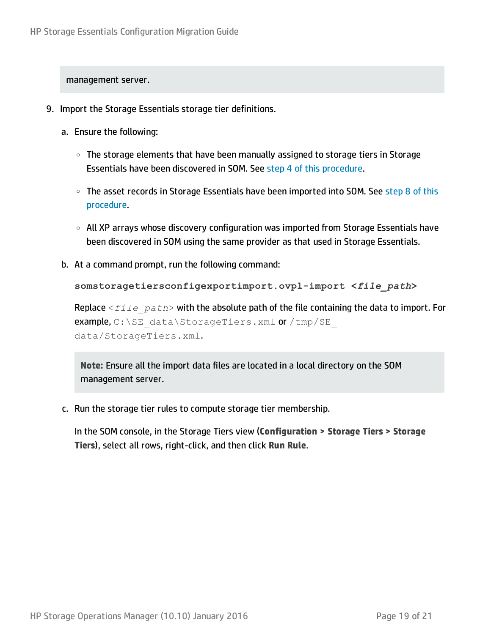management server.

- 9. Import the Storage Essentials storage tier definitions.
	- a. Ensure the following:
		- The storage elements that have been manually assigned to storage tiers in Storage Essentials have been discovered in SOM. See step 4 of this [procedure](#page-15-0).
		- The asset records in Storage Essentials have been imported into SOM. See [step](#page-17-0) 8 of this [procedure](#page-17-0).
		- All XP arrays whose discovery configuration was imported from Storage Essentials have been discovered in SOM using the same provider as that used in Storage Essentials.
	- b. At a command prompt, run the following command:

**somstoragetiersconfigexportimport.ovpl-import <***file\_path***>**

Replace <*file\_path*> with the absolute path of the file containing the data to import. For example, C:\SE\_data\StorageTiers.xml or /tmp/SE data/StorageTiers.xml.

**Note:** Ensure all the import data files are located in a local directory on the SOM management server.

c. Run the storage tier rules to compute storage tier membership.

In the SOM console, in the Storage Tiers view (**Configuration > Storage Tiers > Storage Tiers**), select all rows, right-click, and then click **Run Rule**.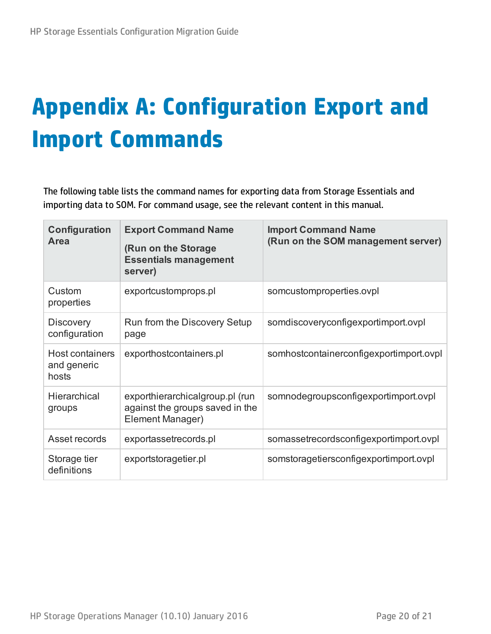# <span id="page-19-0"></span>**Appendix A: Configuration Export and Import Commands**

The following table lists the command names for exporting data from Storage Essentials and importing data to SOM. For command usage, see the relevant content in this manual.

| Configuration<br>Area                   | <b>Export Command Name</b><br>(Run on the Storage<br><b>Essentials management</b><br>server) | <b>Import Command Name</b><br>(Run on the SOM management server) |
|-----------------------------------------|----------------------------------------------------------------------------------------------|------------------------------------------------------------------|
| Custom<br>properties                    | exportcustomprops.pl                                                                         | somcustomproperties.ovpl                                         |
| <b>Discovery</b><br>configuration       | Run from the Discovery Setup<br>page                                                         | somdiscoveryconfigexportimport.ovpl                              |
| Host containers<br>and generic<br>hosts | exporthostcontainers.pl                                                                      | somhostcontainerconfigexportimport.ovpl                          |
| Hierarchical<br>groups                  | exporthierarchicalgroup.pl (run<br>against the groups saved in the<br>Element Manager)       | somnodegroupsconfigexportimport.ovpl                             |
| Asset records                           | exportassetrecords.pl                                                                        | somassetrecordsconfigexportimport.ovpl                           |
| Storage tier<br>definitions             | exportstoragetier.pl                                                                         | somstoragetiersconfigexportimport.ovpl                           |